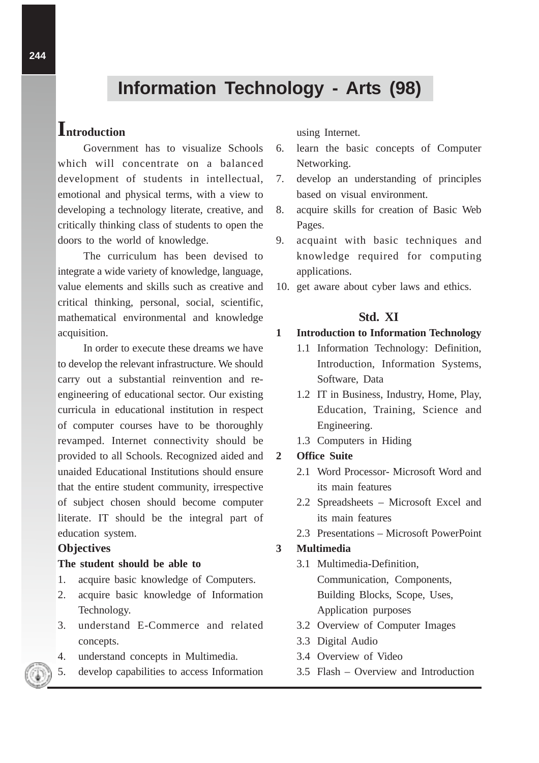# **Information Technology - Arts (98)**

## **Introduction**

Government has to visualize Schools which will concentrate on a balanced development of students in intellectual, emotional and physical terms, with a view to developing a technology literate, creative, and critically thinking class of students to open the doors to the world of knowledge.

The curriculum has been devised to integrate a wide variety of knowledge, language, value elements and skills such as creative and critical thinking, personal, social, scientific, mathematical environmental and knowledge acquisition.

In order to execute these dreams we have to develop the relevant infrastructure. We should carry out a substantial reinvention and reengineering of educational sector. Our existing curricula in educational institution in respect of computer courses have to be thoroughly revamped. Internet connectivity should be provided to all Schools. Recognized aided and unaided Educational Institutions should ensure that the entire student community, irrespective of subject chosen should become computer literate. IT should be the integral part of education system.

#### **Objectives**

#### **The student should be able to**

- 1. acquire basic knowledge of Computers.
- 2. acquire basic knowledge of Information Technology.
- 3. understand E-Commerce and related concepts.
- 4. understand concepts in Multimedia.
- 5. develop capabilities to access Information

using Internet.

- 6. learn the basic concepts of Computer Networking.
- 7. develop an understanding of principles based on visual environment.
- 8. acquire skills for creation of Basic Web Pages.
- 9. acquaint with basic techniques and knowledge required for computing applications.
- 10. get aware about cyber laws and ethics.

## **Std. XI**

#### **1 Introduction to Information Technology**

- 1.1 Information Technology: Definition, Introduction, Information Systems, Software, Data
- 1.2 IT in Business, Industry, Home, Play, Education, Training, Science and Engineering.
- 1.3 Computers in Hiding

## **2 Office Suite**

- 2.1 Word Processor- Microsoft Word and its main features
- 2.2 Spreadsheets Microsoft Excel and its main features
- 2.3 Presentations Microsoft PowerPoint

#### **3 Multimedia**

- 3.1 Multimedia-Definition, Communication, Components, Building Blocks, Scope, Uses, Application purposes
- 3.2 Overview of Computer Images
- 3.3 Digital Audio
- 3.4 Overview of Video
- 3.5 Flash Overview and Introduction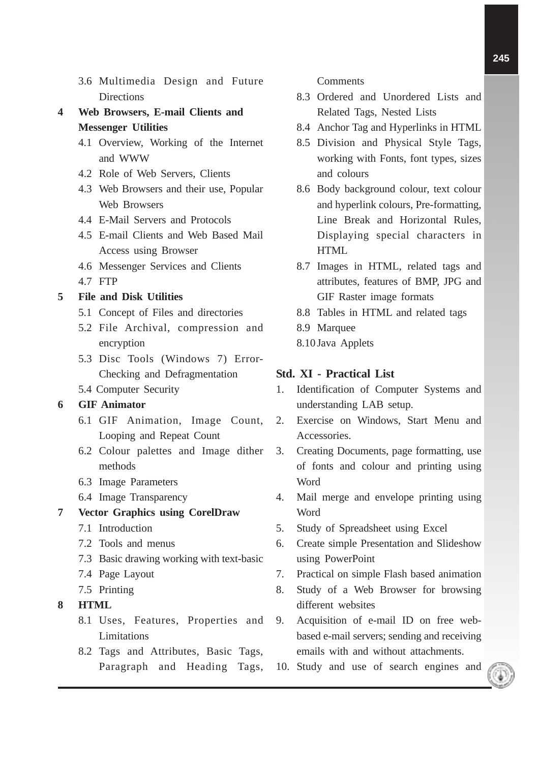- 3.6 Multimedia Design and Future **Directions**
- **4 Web Browsers, E-mail Clients and Messenger Utilities**
	- 4.1 Overview, Working of the Internet and WWW
	- 4.2 Role of Web Servers, Clients
	- 4.3 Web Browsers and their use, Popular Web Browsers
	- 4.4 E-Mail Servers and Protocols
	- 4.5 E-mail Clients and Web Based Mail Access using Browser
	- 4.6 Messenger Services and Clients
	- 4.7 FTP

## **5 File and Disk Utilities**

- 5.1 Concept of Files and directories
- 5.2 File Archival, compression and encryption
- 5.3 Disc Tools (Windows 7) Error-Checking and Defragmentation
- 5.4 Computer Security

## **6 GIF Animator**

- 6.1 GIF Animation, Image Count, Looping and Repeat Count
- 6.2 Colour palettes and Image dither methods
- 6.3 Image Parameters
- 6.4 Image Transparency

### **7 Vector Graphics using CorelDraw**

- 7.1 Introduction
- 7.2 Tools and menus
- 7.3 Basic drawing working with text-basic
- 7.4 Page Layout
- 7.5 Printing
- **8 HTML**
	- 8.1 Uses, Features, Properties and Limitations
	- 8.2 Tags and Attributes, Basic Tags, Paragraph and Heading Tags,

Comments

- 8.3 Ordered and Unordered Lists and Related Tags, Nested Lists
- 8.4 Anchor Tag and Hyperlinks in HTML
- 8.5 Division and Physical Style Tags, working with Fonts, font types, sizes and colours
- 8.6 Body background colour, text colour and hyperlink colours, Pre-formatting, Line Break and Horizontal Rules, Displaying special characters in **HTML**
- 8.7 Images in HTML, related tags and attributes, features of BMP, JPG and GIF Raster image formats
- 8.8 Tables in HTML and related tags
- 8.9 Marquee
- 8.10 Java Applets

#### **Std. XI - Practical List**

- 1. Identification of Computer Systems and understanding LAB setup.
- 2. Exercise on Windows, Start Menu and Accessories.
- 3. Creating Documents, page formatting, use of fonts and colour and printing using Word
- 4. Mail merge and envelope printing using Word
- 5. Study of Spreadsheet using Excel
- 6. Create simple Presentation and Slideshow using PowerPoint
- 7. Practical on simple Flash based animation
- 8. Study of a Web Browser for browsing different websites
- 9. Acquisition of e-mail ID on free webbased e-mail servers; sending and receiving emails with and without attachments.
- 10. Study and use of search engines and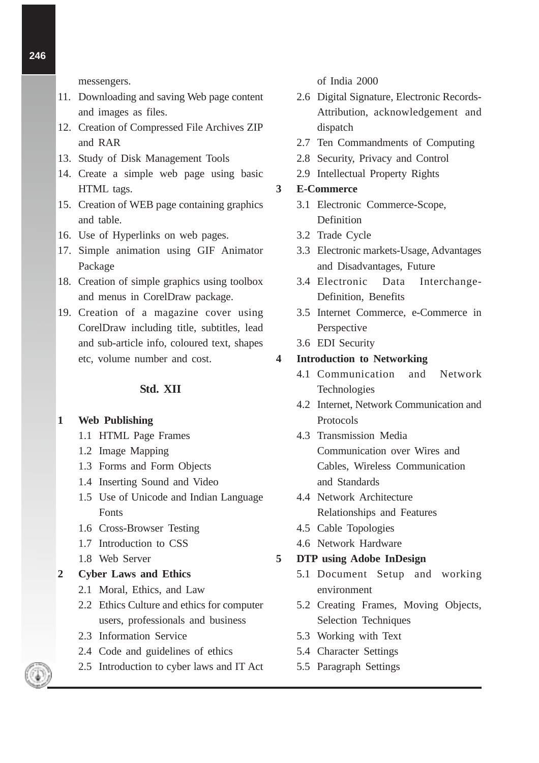messengers.

- 11. Downloading and saving Web page content and images as files.
- 12. Creation of Compressed File Archives ZIP and RAR
- 13. Study of Disk Management Tools
- 14. Create a simple web page using basic HTML tags.
- 15. Creation of WEB page containing graphics and table.
- 16. Use of Hyperlinks on web pages.
- 17. Simple animation using GIF Animator Package
- 18. Creation of simple graphics using toolbox and menus in CorelDraw package.
- 19. Creation of a magazine cover using CorelDraw including title, subtitles, lead and sub-article info, coloured text, shapes etc, volume number and cost.

#### **Std. XII**

#### **1 Web Publishing**

- 1.1 HTML Page Frames
- 1.2 Image Mapping
- 1.3 Forms and Form Objects
- 1.4 Inserting Sound and Video
- 1.5 Use of Unicode and Indian Language Fonts
- 1.6 Cross-Browser Testing
- 1.7 Introduction to CSS
- 1.8 Web Server

#### **2 Cyber Laws and Ethics**

- 2.1 Moral, Ethics, and Law
- 2.2 Ethics Culture and ethics for computer users, professionals and business
- 2.3 Information Service
- 2.4 Code and guidelines of ethics
- 2.5 Introduction to cyber laws and IT Act

of India 2000

- 2.6 Digital Signature, Electronic Records-Attribution, acknowledgement and dispatch
- 2.7 Ten Commandments of Computing
- 2.8 Security, Privacy and Control
- 2.9 Intellectual Property Rights

#### **3 E-Commerce**

- 3.1 Electronic Commerce-Scope, Definition
- 3.2 Trade Cycle
- 3.3 Electronic markets-Usage, Advantages and Disadvantages, Future
- 3.4 Electronic Data Interchange-Definition, Benefits
- 3.5 Internet Commerce, e-Commerce in Perspective
- 3.6 EDI Security

#### **4 Introduction to Networking**

- 4.1 Communication and Network Technologies
- 4.2 Internet, Network Communication and Protocols
- 4.3 Transmission Media Communication over Wires and Cables, Wireless Communication and Standards
- 4.4 Network Architecture Relationships and Features
- 4.5 Cable Topologies
- 4.6 Network Hardware

#### **5 DTP using Adobe InDesign**

- 5.1 Document Setup and working environment
- 5.2 Creating Frames, Moving Objects, Selection Techniques
- 5.3 Working with Text
- 5.4 Character Settings
- 5.5 Paragraph Settings